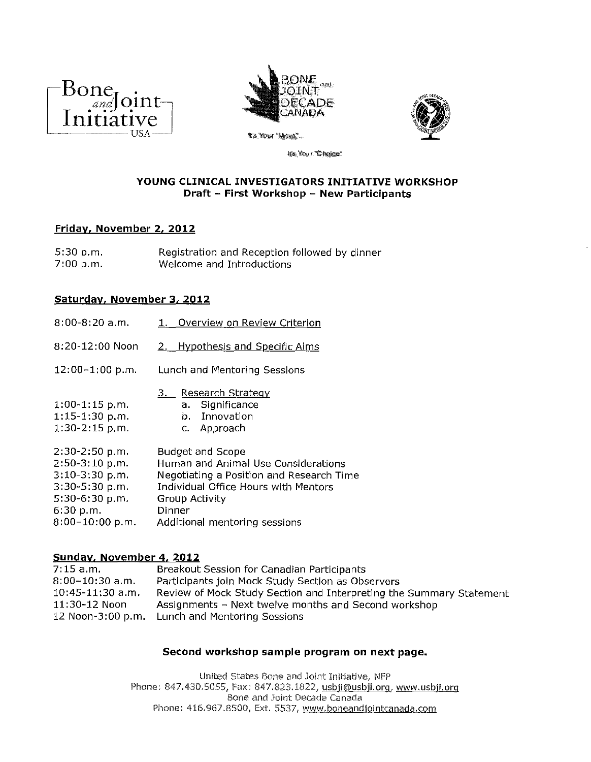



It's Your "Mone"...



life, Your "Choice"

## **YOUNG CLINICAL INVESTIGATORS INITIATIVE WORKSHOP Draft - First Workshop - New Participants**

# **Friday. November 2. 2012**

5:30 p.m. 7:00 p.m. Registration and Reception followed by dinner Welcome and Introductions

## **Saturday. November 3. 2012**

| $8:00-8:20$ a.m.                                                                                                               | Overview on Review Criterion                                                                                                                                                                                                  |
|--------------------------------------------------------------------------------------------------------------------------------|-------------------------------------------------------------------------------------------------------------------------------------------------------------------------------------------------------------------------------|
| 8:20-12:00 Noon                                                                                                                | <b>Hypothesis and Specific Aims</b><br>2.                                                                                                                                                                                     |
| $12:00-1:00 p.m.$                                                                                                              | Lunch and Mentoring Sessions                                                                                                                                                                                                  |
| $1:00-1:15$ p.m.<br>1:15-1:30 p.m.<br>$1.30 - 2.15$ p.m.                                                                       | <b>Research Strategy</b><br>a. Significance<br>b. Innovation<br>c. Approach                                                                                                                                                   |
| 2:30-2:50 p.m.<br>$2:50-3:10 p.m.$<br>$3:10-3:30$ p.m.<br>3:30-5:30 p.m.<br>$5:30-6:30 p.m.$<br>6:30 p.m.<br>$8:00-10:00 p.m.$ | <b>Budget and Scope</b><br>Human and Animal Use Considerations<br>Negotiating a Position and Research Time<br><b>Individual Office Hours with Mentors</b><br><b>Group Activity</b><br>Dinner<br>Additional mentoring sessions |

## Sunday. November 4. 2012

| 7.15 a.m.          | Breakout Session for Canadian Participants                          |
|--------------------|---------------------------------------------------------------------|
| $8:00-10:30$ a.m.  | Participants join Mock Study Section as Observers                   |
| $10:45-11:30$ a.m. | Review of Mock Study Section and Interpreting the Summary Statement |
| 11:30-12 Noon      | Assignments – Next twelve months and Second workshop                |
|                    | 12 Noon-3:00 p.m. Lunch and Mentoring Sessions                      |
|                    |                                                                     |

## **Second workshop sample program on next page.**

United states Bone and Joint Initiative, NFP Phone: 847.430.5055, Fax: 847.823.1822, usbji@usbji.org, www.usbji.org Bone and Joint Decade Canada Phone: 416.967.8500, Ext. 5537, www.boneandjointcanada.com